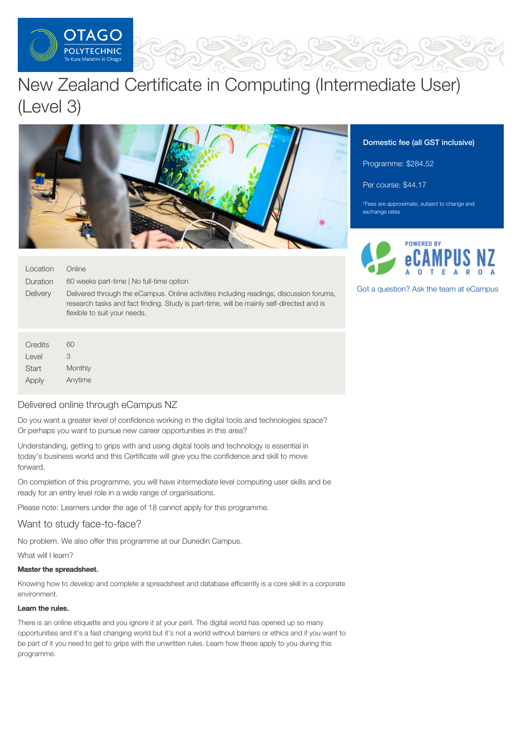

# New Zealand Certificate in Computing (Intermediate User) (Level 3)



| Location<br>Duration | Online<br>60 weeks part-time   No full-time option                                                                                                                                                                  |
|----------------------|---------------------------------------------------------------------------------------------------------------------------------------------------------------------------------------------------------------------|
| Delivery             | Delivered through the eCampus. Online activities including readings, discussion forums,<br>research tasks and fact finding. Study is part-time, will be mainly self-directed and is<br>flexible to suit your needs. |
|                      |                                                                                                                                                                                                                     |

| Credits | 60      |  |  |
|---------|---------|--|--|
| Level   | З       |  |  |
| Start   | Monthly |  |  |
| Apply   | Anytime |  |  |

# Delivered online through eCampus NZ

Do you want a greater level of confidence working in the digital tools and technologies space? Or perhaps you want to pursue new career opportunities in this area?

Understanding, getting to grips with and using digital tools and technology is essential in today's business world and this Certificate will give you the confidence and skill to move forward.

On completion of this programme, you will have intermediate level computing user skills and be ready for an entry level role in a wide range of organisations.

Please note: Learners under the age of 18 cannot apply for this programme.

# Want to study face-to-face?

No problem. We also offer this programme at our Dunedin Campus.

What will I learn?

## Master the spreadsheet.

Knowing how to develop and complete a spreadsheet and database efficiently is a core skill in a corporate environment.

## Learn the rules.

There is an online etiquette and you ignore it at your peril. The digital world has opened up so many opportunities and it's a fast changing world but it's not a world without barriers or ethics and if you want to be part of it you need to get to grips with the unwritten rules. Learn how these apply to you during this programme.

# Domestic fee (all GST inclusive)

Programme: \$284.52

Per course: \$44.17

\*Fees are approximate, subject to change and exchange rates



Got a [question?](https://www.tanzecampus.com/computing-and-it/new-zealand-certificate-computing-intermediate-user-level-3?itp=op) Ask the team at eCampus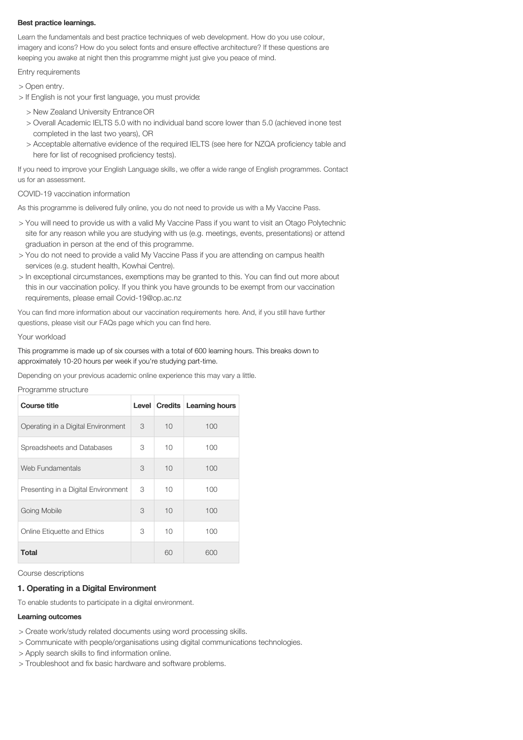### Best practice learnings.

Learn the fundamentals and best practice techniques of web development. How do you use colour, imagery and icons? How do you select fonts and ensure effective architecture? If these questions are keeping you awake at night then this programme might just give you peace of mind.

Entry requirements

> Open entry.

- > If English is not your first language, you must provide:
	- > New Zealand University Entrance OR
	- > Overall Academic IELTS 5.0 with no individual band score lower than 5.0 (achieved inone test completed in the last two years), OR
	- > Acceptable alternative evidence of the required IELTS (see here for NZQA proficiency table and here for list of recognised proficiency tests).

If you need to improve your English Language skills, we offer a wide range of English programmes. Contact us for an assessment.

#### COVID-19 vaccination information

As this programme is delivered fully online, you do not need to provide us with a My Vaccine Pass.

- > You will need to provide us with a valid My Vaccine Pass if you want to visit an Otago Polytechnic site for any reason while you are studying with us (e.g. meetings, events, presentations) or attend graduation in person at the end of this programme.
- > You do not need to provide a valid My Vaccine Pass if you are attending on campus health services (e.g. student health, Kowhai Centre).
- > In exceptional circumstances, exemptions may be granted to this. You can find out more about this in our vaccination policy. If you think you have grounds to be exempt from our vaccination requirements, please email Covid-19@op.ac.nz

You can find more information about our vaccination requirements here. And, if you still have further questions, please visit our FAQs page which you can find here.

#### Your workload

This programme is made up of six courses with a total of 600 learning hours. This breaks down to approximately 10-20 hours per week if you're studying part-time.

Depending on your previous academic online experience this may vary a little.

Programme structure

| <b>Course title</b>                 |   |    | Level   Credits   Learning hours |
|-------------------------------------|---|----|----------------------------------|
| Operating in a Digital Environment  | 3 | 10 | 100                              |
| Spreadsheets and Databases          | 3 | 10 | 100                              |
| Web Fundamentals                    | 3 | 10 | 100                              |
| Presenting in a Digital Environment | 3 | 10 | 100                              |
| Going Mobile                        | 3 | 10 | 100                              |
| Online Etiquette and Ethics         | 3 | 10 | 100                              |
| <b>Total</b>                        |   | 60 | 600                              |

Course descriptions

## 1. Operating in a Digital Environment

To enable students to participate in a digital environment.

## Learning outcomes

- > Create work/study related documents using word processing skills.
- > Communicate with people/organisations using digital communications technologies.
- > Apply search skills to find information online.
- > Troubleshoot and fix basic hardware and software problems.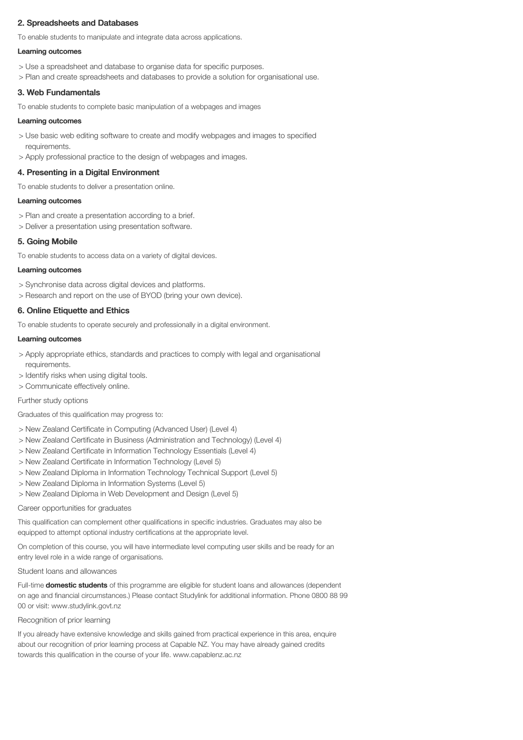# 2. Spreadsheets and Databases

To enable students to manipulate and integrate data across applications.

## Learning outcomes

- > Use a spreadsheet and database to organise data for specific purposes.
- > Plan and create spreadsheets and databases to provide a solution for organisational use.

# 3. Web Fundamentals

To enable students to complete basic manipulation of a webpages and images

#### Learning outcomes

- > Use basic web editing software to create and modify webpages and images to specified requirements.
- > Apply professional practice to the design of webpages and images.

# 4. Presenting in a Digital Environment

To enable students to deliver a presentation online.

#### Learning outcomes

- > Plan and create a presentation according to a brief.
- > Deliver a presentation using presentation software.

# 5. Going Mobile

To enable students to access data on a variety of digital devices.

#### Learning outcomes

- > Synchronise data across digital devices and platforms.
- > Research and report on the use of BYOD (bring your own device).

# 6. Online Etiquette and Ethics

To enable students to operate securely and professionally in a digital environment.

#### Learning outcomes

- > Apply appropriate ethics, standards and practices to comply with legal and organisational requirements.
- > Identify risks when using digital tools.
- > Communicate effectively online.

# Further study options

Graduates of this qualification may progress to:

- > New Zealand Certificate in Computing (Advanced User) (Level 4)
- > New Zealand Certificate in Business (Administration and Technology) (Level 4)
- > New Zealand Certificate in Information Technology Essentials (Level 4)
- > New Zealand Certificate in Information Technology (Level 5)
- > New Zealand Diploma in Information Technology Technical Support (Level 5)
- > New Zealand Diploma in Information Systems (Level 5)
- > New Zealand Diploma in Web Development and Design (Level 5)

#### Career opportunities for graduates

This qualification can complement other qualifications in specific industries. Graduates may also be equipped to attempt optional industry certifications at the appropriate level.

On completion of this course, you will have intermediate level computing user skills and be ready for an entry level role in a wide range of organisations.

## Student loans and allowances

Full-time **domestic students** of this programme are eligible for student loans and allowances (dependent on age and financial circumstances.) Please contact Studylink for additional information. Phone 0800 88 99 00 or visit: www.studylink.govt.nz

# Recognition of prior learning

If you already have extensive knowledge and skills gained from practical experience in this area, enquire about our recognition of prior learning process at Capable NZ. You may have already gained credits towards this qualification in the course of your life. www.capablenz.ac.nz